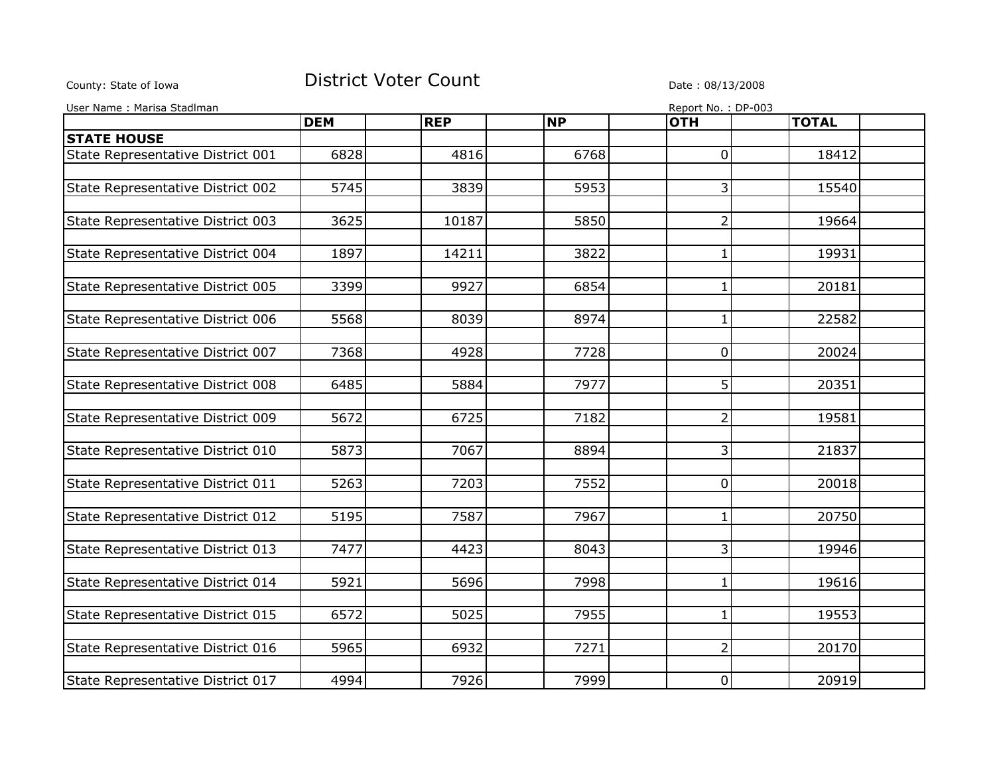## County: State of Iowa **District Voter Count** Description of the country: State of Iowa

| User Name: Marisa Stadlman        |            |            |           | Report No.: DP-003 |              |  |
|-----------------------------------|------------|------------|-----------|--------------------|--------------|--|
|                                   | <b>DEM</b> | <b>REP</b> | <b>NP</b> | <b>OTH</b>         | <b>TOTAL</b> |  |
| <b>STATE HOUSE</b>                |            |            |           |                    |              |  |
| State Representative District 001 | 6828       | 4816       | 6768      | $\overline{0}$     | 18412        |  |
|                                   |            |            |           |                    |              |  |
| State Representative District 002 | 5745       | 3839       | 5953      | $\overline{3}$     | 15540        |  |
|                                   |            |            |           |                    |              |  |
| State Representative District 003 | 3625       | 10187      | 5850      | $\overline{2}$     | 19664        |  |
|                                   | 1897       |            |           |                    |              |  |
| State Representative District 004 |            | 14211      | 3822      | 1                  | 19931        |  |
| State Representative District 005 | 3399       | 9927       | 6854      | 1                  | 20181        |  |
|                                   |            |            |           |                    |              |  |
| State Representative District 006 | 5568       | 8039       | 8974      | 1                  | 22582        |  |
|                                   |            |            |           |                    |              |  |
| State Representative District 007 | 7368       | 4928       | 7728      | 0                  | 20024        |  |
|                                   |            |            |           |                    |              |  |
| State Representative District 008 | 6485       | 5884       | 7977      | 5                  | 20351        |  |
| State Representative District 009 | 5672       | 6725       | 7182      | $\overline{2}$     | 19581        |  |
|                                   |            |            |           |                    |              |  |
| State Representative District 010 | 5873       | 7067       | 8894      | 3                  | 21837        |  |
|                                   |            |            |           |                    |              |  |
| State Representative District 011 | 5263       | 7203       | 7552      | $\overline{0}$     | 20018        |  |
|                                   |            |            |           |                    |              |  |
| State Representative District 012 | 5195       | 7587       | 7967      | 1                  | 20750        |  |
| State Representative District 013 | 7477       | 4423       | 8043      | 3                  | 19946        |  |
|                                   |            |            |           |                    |              |  |
| State Representative District 014 | 5921       | 5696       | 7998      | 1                  | 19616        |  |
|                                   |            |            |           |                    |              |  |
| State Representative District 015 | 6572       | 5025       | 7955      | 1                  | 19553        |  |
|                                   |            |            |           |                    |              |  |
| State Representative District 016 | 5965       | 6932       | 7271      | $\overline{2}$     | 20170        |  |
| State Representative District 017 | 4994       | 7926       | 7999      | $\overline{0}$     | 20919        |  |
|                                   |            |            |           |                    |              |  |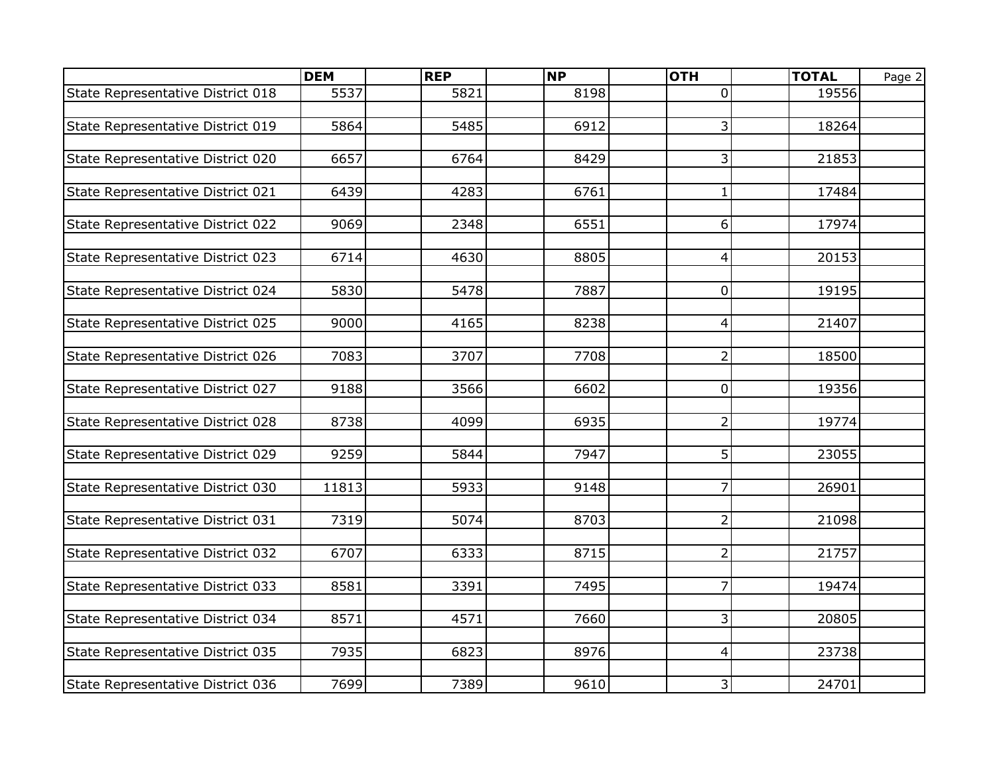|                                   | <b>DEM</b> | <b>REP</b> | <b>NP</b> | <b>OTH</b>              | <b>TOTAL</b> | Page 2 |
|-----------------------------------|------------|------------|-----------|-------------------------|--------------|--------|
| State Representative District 018 | 5537       | 5821       | 8198      | $\overline{0}$          | 19556        |        |
|                                   |            |            |           |                         |              |        |
| State Representative District 019 | 5864       | 5485       | 6912      | 3                       | 18264        |        |
|                                   |            |            |           |                         |              |        |
| State Representative District 020 | 6657       | 6764       | 8429      | 3                       | 21853        |        |
|                                   |            |            |           |                         |              |        |
| State Representative District 021 | 6439       | 4283       | 6761      | $\mathbf{1}$            | 17484        |        |
|                                   |            |            |           |                         |              |        |
| State Representative District 022 | 9069       | 2348       | 6551      | 6                       | 17974        |        |
|                                   |            |            |           |                         |              |        |
| State Representative District 023 | 6714       | 4630       | 8805      | $\vert 4 \vert$         | 20153        |        |
|                                   |            |            |           |                         |              |        |
| State Representative District 024 | 5830       | 5478       | 7887      | 0                       | 19195        |        |
|                                   |            |            |           |                         |              |        |
| State Representative District 025 | 9000       | 4165       | 8238      | 4                       | 21407        |        |
|                                   |            |            |           |                         |              |        |
| State Representative District 026 | 7083       | 3707       | 7708      | $\overline{2}$          | 18500        |        |
|                                   |            |            |           |                         |              |        |
| State Representative District 027 | 9188       | 3566       | 6602      | $\pmb{0}$               | 19356        |        |
|                                   | 8738       | 4099       | 6935      | $\overline{2}$          | 19774        |        |
| State Representative District 028 |            |            |           |                         |              |        |
| State Representative District 029 | 9259       | 5844       | 7947      | 5 <sup>1</sup>          | 23055        |        |
|                                   |            |            |           |                         |              |        |
| State Representative District 030 | 11813      | 5933       | 9148      | $\overline{7}$          | 26901        |        |
|                                   |            |            |           |                         |              |        |
| State Representative District 031 | 7319       | 5074       | 8703      | $\overline{2}$          | 21098        |        |
|                                   |            |            |           |                         |              |        |
| State Representative District 032 | 6707       | 6333       | 8715      | $\overline{2}$          | 21757        |        |
|                                   |            |            |           |                         |              |        |
| State Representative District 033 | 8581       | 3391       | 7495      | $\overline{7}$          | 19474        |        |
|                                   |            |            |           |                         |              |        |
| State Representative District 034 | 8571       | 4571       | 7660      | $\overline{\mathbf{3}}$ | 20805        |        |
|                                   |            |            |           |                         |              |        |
| State Representative District 035 | 7935       | 6823       | 8976      | $\vert 4 \vert$         | 23738        |        |
|                                   |            |            |           |                         |              |        |
| State Representative District 036 | 7699       | 7389       | 9610      | 3 <sup>1</sup>          | 24701        |        |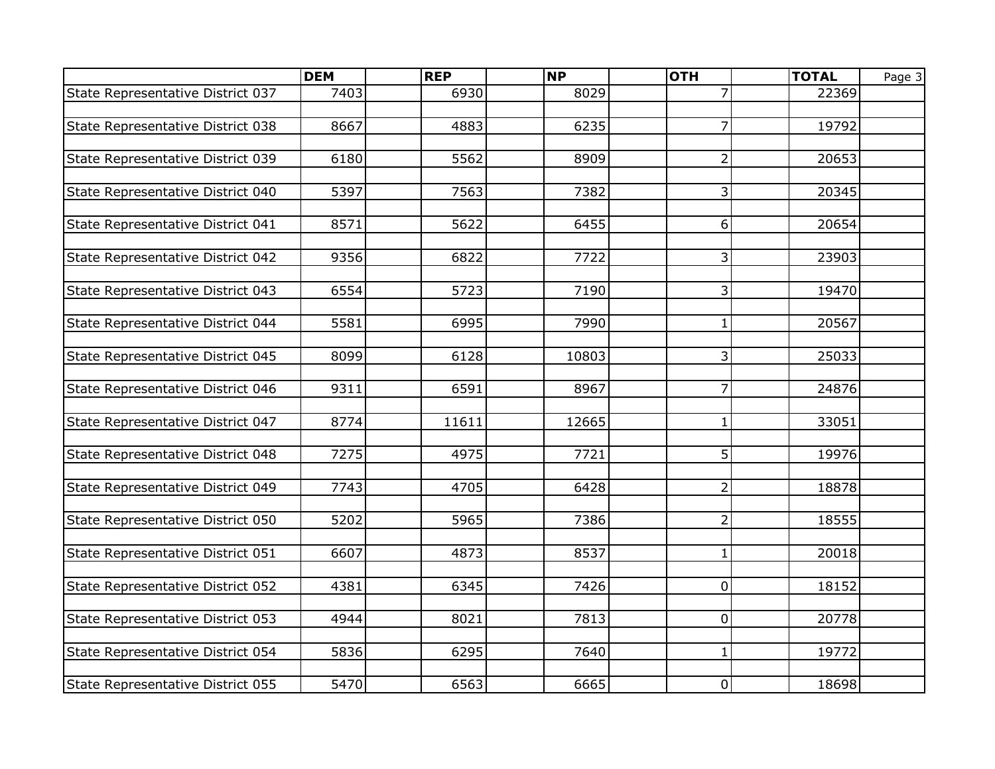|                                   | <b>DEM</b> | <b>REP</b> | NP    | <b>OTH</b>     | <b>TOTAL</b> | Page 3 |
|-----------------------------------|------------|------------|-------|----------------|--------------|--------|
| State Representative District 037 | 7403       | 6930       | 8029  |                | 22369        |        |
|                                   |            |            |       |                |              |        |
| State Representative District 038 | 8667       | 4883       | 6235  | 7              | 19792        |        |
|                                   |            |            |       |                |              |        |
| State Representative District 039 | 6180       | 5562       | 8909  | $\overline{2}$ | 20653        |        |
|                                   |            |            |       |                |              |        |
| State Representative District 040 | 5397       | 7563       | 7382  | 3              | 20345        |        |
|                                   |            |            |       |                |              |        |
| State Representative District 041 | 8571       | 5622       | 6455  | 6              | 20654        |        |
|                                   |            |            |       |                |              |        |
| State Representative District 042 | 9356       | 6822       | 7722  | $\overline{3}$ | 23903        |        |
|                                   |            |            |       |                |              |        |
| State Representative District 043 | 6554       | 5723       | 7190  | 3              | 19470        |        |
| State Representative District 044 | 5581       | 6995       | 7990  | $\mathbf{1}$   | 20567        |        |
|                                   |            |            |       |                |              |        |
| State Representative District 045 | 8099       | 6128       | 10803 | 3              | 25033        |        |
|                                   |            |            |       |                |              |        |
| State Representative District 046 | 9311       | 6591       | 8967  | 7              | 24876        |        |
|                                   |            |            |       |                |              |        |
| State Representative District 047 | 8774       | 11611      | 12665 | $\mathbf{1}$   | 33051        |        |
|                                   |            |            |       |                |              |        |
| State Representative District 048 | 7275       | 4975       | 7721  | 5              | 19976        |        |
|                                   |            |            |       |                |              |        |
| State Representative District 049 | 7743       | 4705       | 6428  | $\overline{2}$ | 18878        |        |
|                                   |            |            |       |                |              |        |
| State Representative District 050 | 5202       | 5965       | 7386  | $\overline{2}$ | 18555        |        |
|                                   |            |            |       |                |              |        |
| State Representative District 051 | 6607       | 4873       | 8537  | $\mathbf{1}$   | 20018        |        |
| State Representative District 052 | 4381       | 6345       | 7426  | 0              | 18152        |        |
|                                   |            |            |       |                |              |        |
| State Representative District 053 | 4944       | 8021       | 7813  | 0              | 20778        |        |
|                                   |            |            |       |                |              |        |
| State Representative District 054 | 5836       | 6295       | 7640  | $\mathbf{1}$   | 19772        |        |
|                                   |            |            |       |                |              |        |
| State Representative District 055 | 5470       | 6563       | 6665  | $\overline{0}$ | 18698        |        |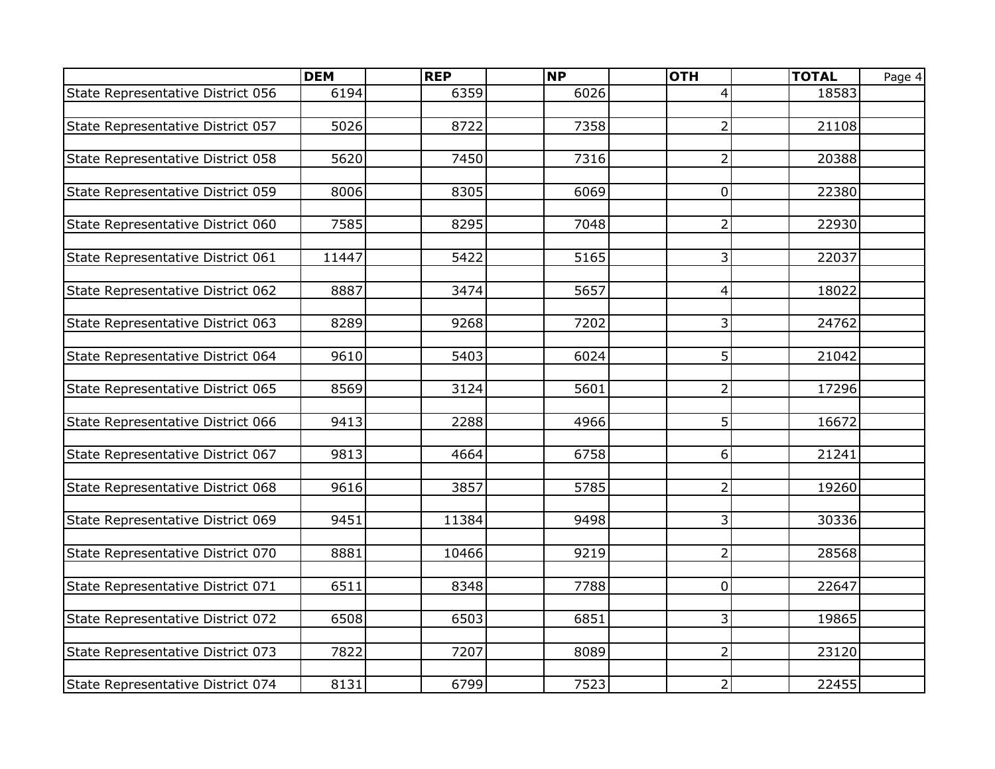|                                   | <b>DEM</b> | <b>REP</b> | <b>NP</b> | <b>OTH</b>              | <b>TOTAL</b> | Page 4 |
|-----------------------------------|------------|------------|-----------|-------------------------|--------------|--------|
| State Representative District 056 | 6194       | 6359       | 6026      | 4                       | 18583        |        |
|                                   |            |            |           |                         |              |        |
| State Representative District 057 | 5026       | 8722       | 7358      | $\overline{2}$          | 21108        |        |
|                                   |            |            |           |                         |              |        |
| State Representative District 058 | 5620       | 7450       | 7316      | $\overline{2}$          | 20388        |        |
|                                   |            |            |           |                         |              |        |
| State Representative District 059 | 8006       | 8305       | 6069      | 0                       | 22380        |        |
|                                   |            |            |           |                         |              |        |
| State Representative District 060 | 7585       | 8295       | 7048      | $\overline{2}$          | 22930        |        |
|                                   |            |            |           |                         |              |        |
| State Representative District 061 | 11447      | 5422       | 5165      | $\overline{3}$          | 22037        |        |
|                                   |            |            |           |                         |              |        |
| State Representative District 062 | 8887       | 3474       | 5657      | $\vert 4 \vert$         | 18022        |        |
|                                   |            |            |           |                         |              |        |
| State Representative District 063 | 8289       | 9268       | 7202      | 3                       | 24762        |        |
|                                   | 9610       | 5403       | 6024      | 5                       | 21042        |        |
| State Representative District 064 |            |            |           |                         |              |        |
| State Representative District 065 | 8569       | 3124       | 5601      | $\overline{2}$          | 17296        |        |
|                                   |            |            |           |                         |              |        |
| State Representative District 066 | 9413       | 2288       | 4966      | 5 <sup>1</sup>          | 16672        |        |
|                                   |            |            |           |                         |              |        |
| State Representative District 067 | 9813       | 4664       | 6758      | 6 <sup>1</sup>          | 21241        |        |
|                                   |            |            |           |                         |              |        |
| State Representative District 068 | 9616       | 3857       | 5785      | $\overline{2}$          | 19260        |        |
|                                   |            |            |           |                         |              |        |
| State Representative District 069 | 9451       | 11384      | 9498      | $\overline{3}$          | 30336        |        |
|                                   |            |            |           |                         |              |        |
| State Representative District 070 | 8881       | 10466      | 9219      | $\overline{2}$          | 28568        |        |
|                                   |            |            |           |                         |              |        |
| State Representative District 071 | 6511       | 8348       | 7788      | $\overline{0}$          | 22647        |        |
|                                   |            |            |           |                         |              |        |
| State Representative District 072 | 6508       | 6503       | 6851      | $\overline{\mathbf{3}}$ | 19865        |        |
|                                   |            |            |           |                         |              |        |
| State Representative District 073 | 7822       | 7207       | 8089      | $\overline{2}$          | 23120        |        |
|                                   |            |            |           |                         |              |        |
| State Representative District 074 | 8131       | 6799       | 7523      | $\overline{2}$          | 22455        |        |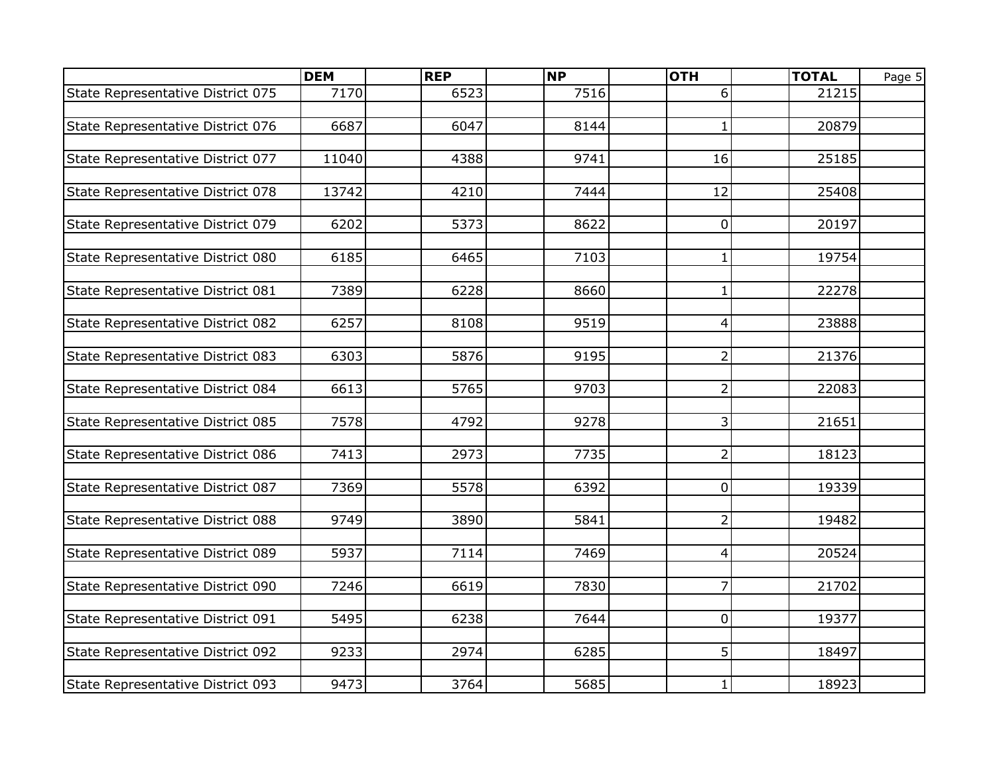|                                   | <b>DEM</b> | <b>REP</b> | <b>NP</b> | <b>OTH</b>      | <b>TOTAL</b> | Page 5 |
|-----------------------------------|------------|------------|-----------|-----------------|--------------|--------|
| State Representative District 075 | 7170       | 6523       | 7516      | 6               | 21215        |        |
|                                   |            |            |           |                 |              |        |
| State Representative District 076 | 6687       | 6047       | 8144      | $\mathbf{1}$    | 20879        |        |
|                                   |            |            |           |                 |              |        |
| State Representative District 077 | 11040      | 4388       | 9741      | 16              | 25185        |        |
|                                   |            |            |           |                 |              |        |
| State Representative District 078 | 13742      | 4210       | 7444      | $\overline{12}$ | 25408        |        |
|                                   |            |            |           |                 |              |        |
| State Representative District 079 | 6202       | 5373       | 8622      | 0               | 20197        |        |
|                                   |            |            |           |                 |              |        |
| State Representative District 080 | 6185       | 6465       | 7103      | $\mathbf{1}$    | 19754        |        |
|                                   |            |            |           |                 |              |        |
| State Representative District 081 | 7389       | 6228       | 8660      | $\mathbf{1}$    | 22278        |        |
|                                   |            |            |           |                 |              |        |
| State Representative District 082 | 6257       | 8108       | 9519      | 4               | 23888        |        |
|                                   |            |            |           |                 |              |        |
| State Representative District 083 | 6303       | 5876       | 9195      | $\overline{2}$  | 21376        |        |
|                                   |            |            |           |                 |              |        |
| State Representative District 084 | 6613       | 5765       | 9703      | $\overline{2}$  | 22083        |        |
|                                   |            |            |           |                 |              |        |
| State Representative District 085 | 7578       | 4792       | 9278      | 3               | 21651        |        |
|                                   |            |            |           |                 |              |        |
| State Representative District 086 | 7413       | 2973       | 7735      | $\overline{2}$  | 18123        |        |
|                                   |            |            |           |                 |              |        |
| State Representative District 087 | 7369       | 5578       | 6392      | $\pmb{0}$       | 19339        |        |
|                                   |            |            |           |                 |              |        |
| State Representative District 088 | 9749       | 3890       | 5841      | $\overline{2}$  | 19482        |        |
|                                   |            |            |           |                 |              |        |
| State Representative District 089 | 5937       | 7114       | 7469      | 4               | 20524        |        |
|                                   |            |            |           |                 |              |        |
| State Representative District 090 | 7246       | 6619       | 7830      | $\overline{7}$  | 21702        |        |
|                                   |            |            |           |                 |              |        |
| State Representative District 091 | 5495       | 6238       | 7644      | 0               | 19377        |        |
|                                   |            |            |           |                 |              |        |
| State Representative District 092 | 9233       | 2974       | 6285      | 5 <sup>1</sup>  | 18497        |        |
|                                   |            |            |           |                 |              |        |
| State Representative District 093 | 9473       | 3764       | 5685      | $\mathbf{1}$    | 18923        |        |